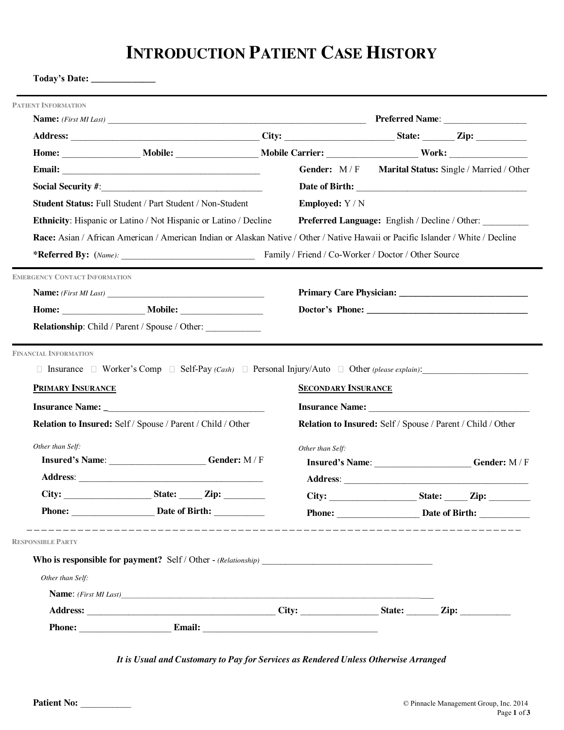# **INTRODUCTION PATIENT CASE HISTORY**

|                                      |                                                                                                                                  |                            |                                                             | Gender: M/F Marital Status: Single / Married / Other  |
|--------------------------------------|----------------------------------------------------------------------------------------------------------------------------------|----------------------------|-------------------------------------------------------------|-------------------------------------------------------|
|                                      |                                                                                                                                  |                            |                                                             |                                                       |
|                                      | Student Status: Full Student / Part Student / Non-Student                                                                        | <b>Employed:</b> Y / N     |                                                             |                                                       |
|                                      | Ethnicity: Hispanic or Latino / Not Hispanic or Latino / Decline                                                                 |                            |                                                             | <b>Preferred Language:</b> English / Decline / Other: |
|                                      | Race: Asian / African American / American Indian or Alaskan Native / Other / Native Hawaii or Pacific Islander / White / Decline |                            |                                                             |                                                       |
|                                      |                                                                                                                                  |                            |                                                             |                                                       |
| <b>EMERGENCY CONTACT INFORMATION</b> |                                                                                                                                  |                            |                                                             |                                                       |
|                                      |                                                                                                                                  |                            |                                                             |                                                       |
|                                      |                                                                                                                                  |                            |                                                             |                                                       |
|                                      | Relationship: Child / Parent / Spouse / Other:                                                                                   |                            |                                                             |                                                       |
| <b>FINANCIAL INFORMATION</b>         | $\Box$ Insurance $\Box$ Worker's Comp $\Box$ Self-Pay (Cash) $\Box$ Personal Injury/Auto $\Box$ Other (please explain):          |                            |                                                             |                                                       |
| <b>PRIMARY INSURANCE</b>             | Relation to Insured: Self / Spouse / Parent / Child / Other                                                                      | <b>SECONDARY INSURANCE</b> | Relation to Insured: Self / Spouse / Parent / Child / Other |                                                       |
| Other than Self:                     |                                                                                                                                  | Other than Self:           |                                                             |                                                       |
|                                      | <b>Insured's Name:</b> Gender: M/F                                                                                               |                            |                                                             |                                                       |
|                                      |                                                                                                                                  |                            |                                                             |                                                       |
|                                      |                                                                                                                                  |                            |                                                             |                                                       |
|                                      | Phone: Date of Birth:                                                                                                            |                            |                                                             |                                                       |
| <b>RESPONSIBLE PARTY</b>             |                                                                                                                                  |                            |                                                             |                                                       |
|                                      |                                                                                                                                  |                            |                                                             |                                                       |
| Other than Self:                     |                                                                                                                                  |                            |                                                             |                                                       |
|                                      | Name: (First MI Last)                                                                                                            |                            |                                                             |                                                       |
|                                      |                                                                                                                                  |                            |                                                             | Insured's Name: Gender: M/F<br>Phone: Date of Birth:  |

*It is Usual and Customary to Pay for Services as Rendered Unless Otherwise Arranged*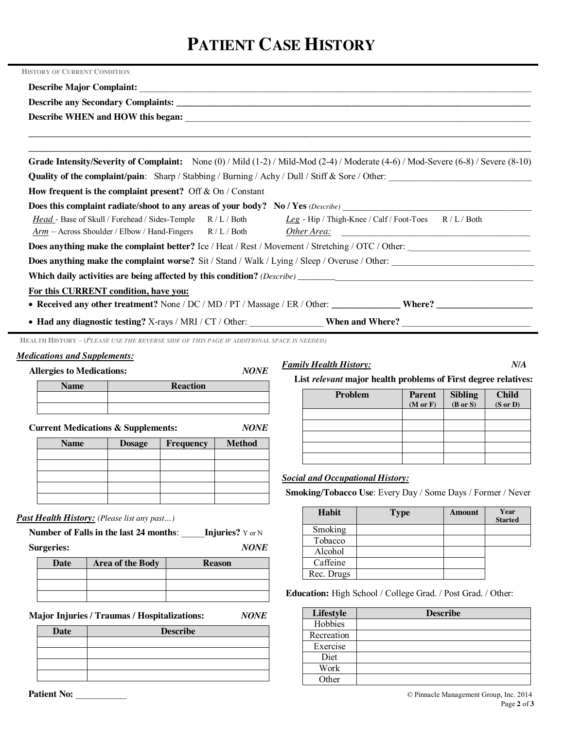# **PATIENT CASE HISTORY**

| <b>HISTORY OF CURRENT CONDITION</b>                                                                                                           |
|-----------------------------------------------------------------------------------------------------------------------------------------------|
|                                                                                                                                               |
|                                                                                                                                               |
|                                                                                                                                               |
|                                                                                                                                               |
| Grade Intensity/Severity of Complaint: None $(0)$ / Mild $(1-2)$ / Mild-Mod $(2-4)$ / Moderate $(4-6)$ / Mod-Severe $(6-8)$ / Severe $(8-10)$ |
| <b>Quality of the complaint/pain:</b> Sharp / Stabbing / Burning / Achy / Dull / Stiff $\&$ Sore / Other:                                     |
| How frequent is the complaint present? Off $&$ On / Constant                                                                                  |
| Does this complaint radiate/shoot to any areas of your body? No / Yes (Describe) _____________________________                                |
| Head - Base of Skull / Forehead / Sides-Temple R / L / Both Leg - Hip / Thigh-Knee / Calf / Foot-Toes R / L / Both                            |
| Arm - Across Shoulder / Elbow / Hand-Fingers R / L / Both Other Area:                                                                         |
| Does anything make the complaint better? Ice / Heat / Rest / Movement / Stretching / OTC / Other:                                             |
| Does anything make the complaint worse? Sit / Stand / Walk / Lying / Sleep / Overuse / Other:                                                 |
|                                                                                                                                               |
| For this CURRENT condition, have you:                                                                                                         |
|                                                                                                                                               |
|                                                                                                                                               |
| HEALTH HISTORY - (PLEASE USE THE REVERSE SIDE OF THIS PAGE IF ADDITIONAL SPACE IS NEEDED)                                                     |

## *Medications and Supplements:*

**Allergies to Medications:** *NONE*

*Family Health History: N/A*

**Child (S or D)**

# **Name Reaction**

**Current Medications & Supplements:** *NONE*

| <b>Name</b> | <b>Dosage</b> | <b>Frequency</b> | <b>Method</b> |
|-------------|---------------|------------------|---------------|
|             |               |                  |               |
|             |               |                  |               |
|             |               |                  |               |
|             |               |                  |               |
|             |               |                  |               |

# *Past Health History: (Please list any past…)*

**Number of Falls in the last 24 months**: \_\_\_\_\_**Injuries?** Y or N **Surgeries:** *NONE*

| Date | <b>Area of the Body</b> | <b>Reason</b> |
|------|-------------------------|---------------|
|      |                         |               |
|      |                         |               |
|      |                         |               |

**Major Injuries / Traumas / Hospitalizations:** *NONE* 

| <b>Date</b> | <b>Describe</b> |
|-------------|-----------------|
|             |                 |
|             |                 |
|             |                 |
|             |                 |

# *Social and Occupational History:*

**Smoking/Tobacco Use**: Every Day / Some Days / Former / Never

**List** *relevant* **major health problems of First degree relatives:**

**(M or F)**

**Sibling (B or S)**

**Problem Parent**

| <b>Habit</b> | <b>Type</b> | <b>Amount</b> | Year<br><b>Started</b> |
|--------------|-------------|---------------|------------------------|
| Smoking      |             |               |                        |
| Tobacco      |             |               |                        |
| Alcohol      |             |               |                        |
| Caffeine     |             |               |                        |
| Rec. Drugs   |             |               |                        |

**Education:** High School / College Grad. / Post Grad. / Other:

| Lifestyle  | <b>Describe</b> |
|------------|-----------------|
| Hobbies    |                 |
| Recreation |                 |
| Exercise   |                 |
| Diet       |                 |
| Work       |                 |
| Other      |                 |